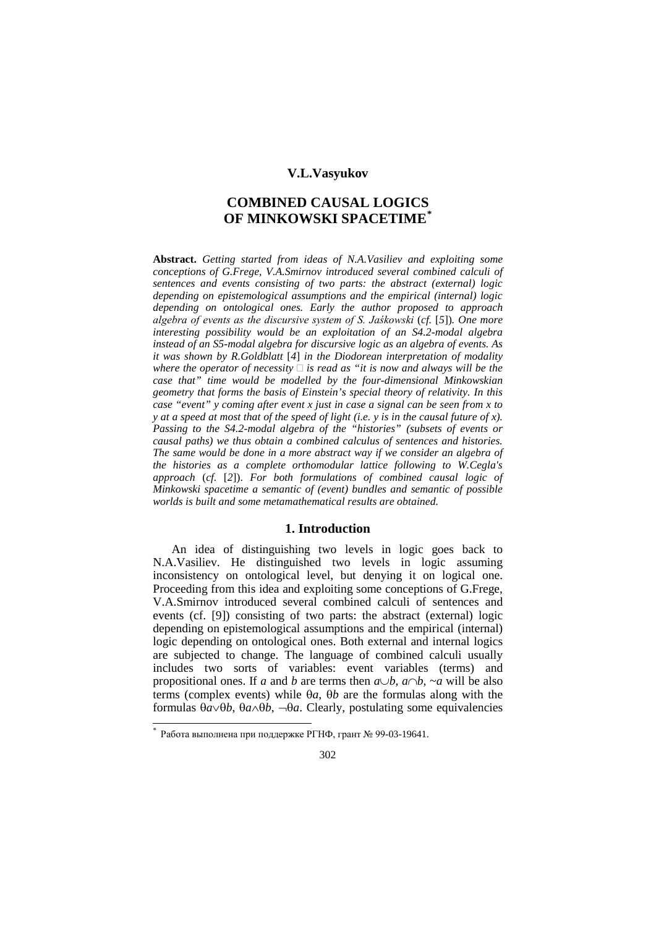### **V.L.Vasyukov**

# **COMBINED CAUSAL LOGICS OF MINKOWSKI SPACETIME[\\*](#page-0-0)**

**Abstract.** *Getting started from ideas of N.A.Vasiliev and exploiting some conceptions of G.Frege, V.A.Smirnov introduced several combined calculi of sentences and events consisting of two parts: the abstract (external) logic depending on epistemological assumptions and the empirical (internal) logic depending on ontological ones. Early the author proposed to approach algebra of events as the discursive system of S. Jaśkowski* (*cf.* [*5*])*. One more interesting possibility would be an exploitation of an S4.2-modal algebra instead of an S5-modal algebra for discursive logic as an algebra of events. As it was shown by R.Goldblatt* [*4*] *in the Diodorean interpretation of modality*  where the operator of necessity  $\Box$  is read as "it is now and always will be the *case that" time would be modelled by the four-dimensional Minkowskian geometry that forms the basis of Einstein's special theory of relativity. In this case "event" y coming after event x just in case a signal can be seen from x to y at a speed at most that of the speed of light (i.e. y is in the causal future of x). Passing to the S4.2-modal algebra of the "histories" (subsets of events or causal paths) we thus obtain a combined calculus of sentences and histories. The same would be done in a more abstract way if we consider an algebra of the histories as a complete orthomodular lattice following to W.Cegla's approach* (*cf.* [*2*]). *For both formulations of combined causal logic of Minkowski spacetime a semantic of (event) bundles and semantic of possible worlds is built and some metamathematical results are obtained.*

## **1. Introduction**

An idea of distinguishing two levels in logic goes back to N.A.Vasiliev. He distinguished two levels in logic assuming inconsistency on ontological level, but denying it on logical one. Proceeding from this idea and exploiting some conceptions of G.Frege, V.A.Smirnov introduced several combined calculi of sentences and events (cf. [9]) consisting of two parts: the abstract (external) logic depending on epistemological assumptions and the empirical (internal) logic depending on ontological ones. Both external and internal logics are subjected to change. The language of combined calculi usually includes two sorts of variables: event variables (terms) and propositional ones. If *a* and *b* are terms then  $a \cup b$ ,  $a \cap b$ , ~*a* will be also terms (complex events) while θ*a*, θ*b* are the formulas along with the formulas θ*a*∨θ*b*, θ*a*∧θ*b*, ¬θ*a*. Clearly, postulating some equivalencies

 $\overline{a}$ 

<span id="page-0-0"></span><sup>\*</sup> Работа выполнена при поддержке РГНФ, грант № 99-03-19641.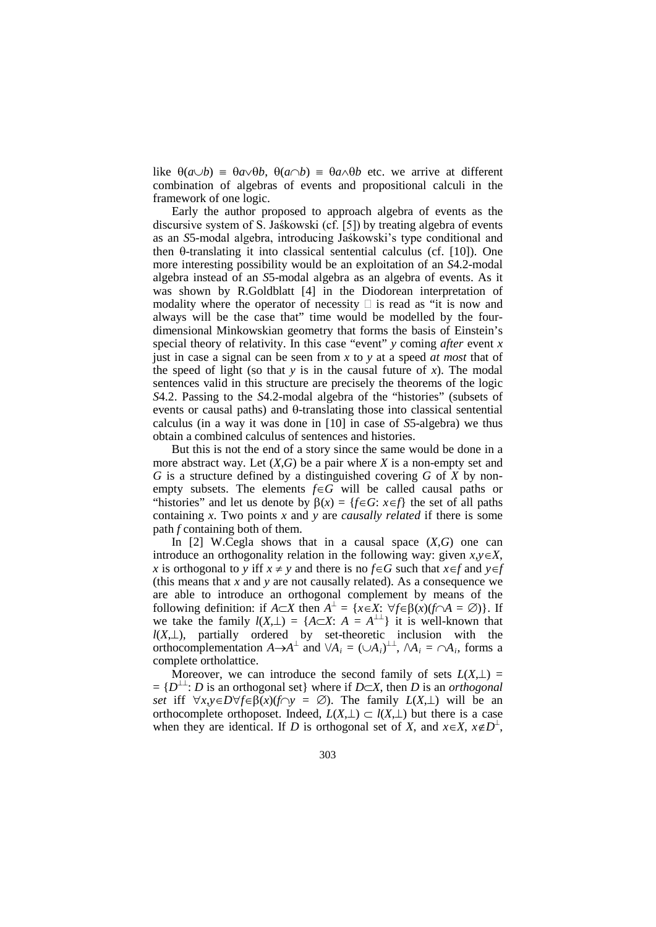like  $\theta(a \cup b) = \theta a \vee \theta b$ ,  $\theta(a \cap b) = \theta a \wedge \theta b$  etc. we arrive at different combination of algebras of events and propositional calculi in the framework of one logic.

Early the author proposed to approach algebra of events as the discursive system of S. Jaśkowski (cf. [5]) by treating algebra of events as an *S*5-modal algebra, introducing Jaśkowski's type conditional and then θ-translating it into classical sentential calculus (cf. [10]). One more interesting possibility would be an exploitation of an *S*4.2-modal algebra instead of an *S*5-modal algebra as an algebra of events. As it was shown by R.Goldblatt [4] in the Diodorean interpretation of modality where the operator of necessity  $\Box$  is read as "it is now and always will be the case that" time would be modelled by the fourdimensional Minkowskian geometry that forms the basis of Einstein's special theory of relativity. In this case "event" *y* coming *after* event *x* just in case a signal can be seen from *x* to *y* at a speed *at most* that of the speed of light (so that  $y$  is in the causal future of  $x$ ). The modal sentences valid in this structure are precisely the theorems of the logic *S*4.2. Passing to the *S*4.2-modal algebra of the "histories" (subsets of events or causal paths) and θ-translating those into classical sentential calculus (in a way it was done in [10] in case of *S*5-algebra) we thus obtain a combined calculus of sentences and histories.

But this is not the end of a story since the same would be done in a more abstract way. Let (*X*,*G*) be a pair where *X* is a non-empty set and *G* is a structure defined by a distinguished covering *G* of *X* by nonempty subsets. The elements *f*∈*G* will be called causal paths or "histories" and let us denote by  $\beta(x) = \{f \in G : x \in f\}$  the set of all paths containing *x*. Two points *x* and *y* are *causally related* if there is some path *f* containing both of them.

In [2] W.Cegla shows that in a causal space (*X*,*G*) one can introduce an orthogonality relation in the following way: given  $x, y \in X$ , *x* is orthogonal to *y* iff  $x \neq y$  and there is no  $f \in G$  such that  $x \in f$  and  $y \in f$ (this means that *x* and *y* are not causally related). As a consequence we are able to introduce an orthogonal complement by means of the following definition: if  $A \subset X$  then  $A^{\perp} = \{x \in X: \forall f \in \beta(x) (f \cap A = \emptyset)\}\$ . If we take the family  $l(X, \perp) = {A \subset X: A = A^{\perp}}$  it is well-known that *l*(*X*,⊥), partially ordered by set-theoretic inclusion with the orthocomplementation  $A \rightarrow A^{\perp}$  and  $\forall A_i = (\cup A_i)^{\perp \perp}$ ,  $\forall A_i = \cap A_i$ , forms a complete ortholattice.

Moreover, we can introduce the second family of sets  $L(X, \perp)$  =  $= {D<sup>\perp</sup> : D \text{ is an orthogonal set}$  where if *D*⊂*X*, then *D* is an *orthogonal set* iff  $\forall x, y \in D \forall f \in \beta(x)$  (*f*∩*y* = ∅). The family  $L(X, \perp)$  will be an orthocomplete orthoposet. Indeed,  $L(X, \perp) \subset l(X, \perp)$  but there is a case when they are identical. If *D* is orthogonal set of *X*, and  $x \in X$ ,  $x \notin D<sup>\perp</sup>$ ,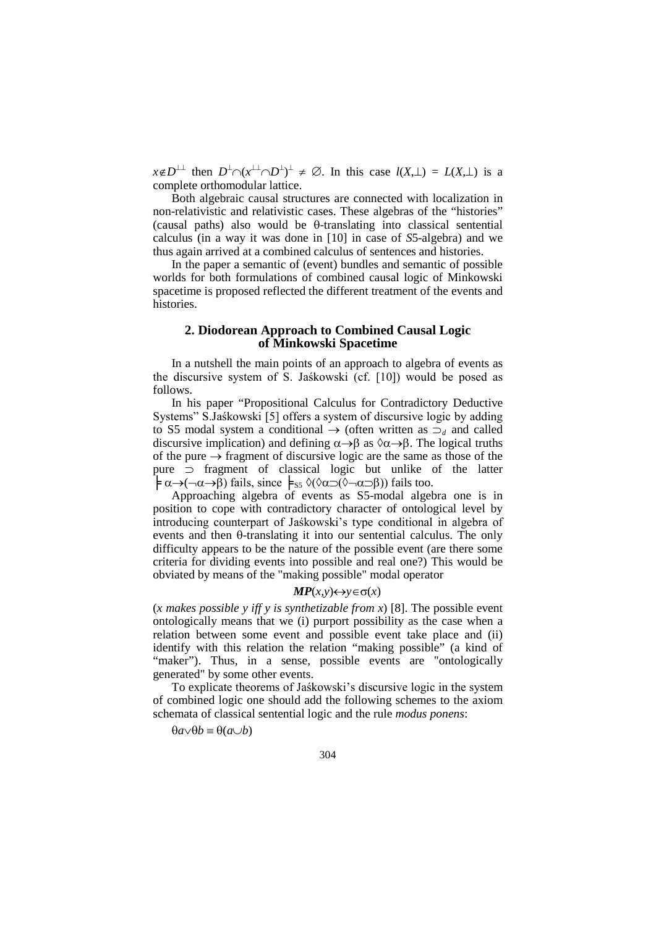$x \notin D^{\perp\perp}$  then  $D^{\perp} \cap (x^{\perp\perp} \cap D^{\perp})^{\perp} \neq \emptyset$ . In this case  $l(X, \perp) = L(X, \perp)$  is a complete orthomodular lattice.

Both algebraic causal structures are connected with localization in non-relativistic and relativistic cases. These algebras of the "histories" (causal paths) also would be θ-translating into classical sentential calculus (in a way it was done in [10] in case of *S*5-algebra) and we thus again arrived at a combined calculus of sentences and histories.

In the paper a semantic of (event) bundles and semantic of possible worlds for both formulations of combined causal logic of Minkowski spacetime is proposed reflected the different treatment of the events and histories.

### **2. Diodorean Approach to Combined Causal Logic of Minkowski Spacetime**

In a nutshell the main points of an approach to algebra of events as the discursive system of S. Jaśkowski (cf. [10]) would be posed as follows.

In his paper "Propositional Calculus for Contradictory Deductive Systems" S.Jaśkowski [5] offers a system of discursive logic by adding to S5 modal system a conditional → (often written as ⊃*<sup>d</sup>* and called discursive implication) and defining  $\alpha \rightarrow \beta$  as  $\alpha \rightarrow \beta$ . The logical truths of the pure  $\rightarrow$  fragment of discursive logic are the same as those of the pure ⊃ fragment of classical logic but unlike of the latter  $\mathbf{\frac{1}{2}} \alpha \rightarrow (\neg \alpha \rightarrow \beta)$  fails, since  $\mathbf{\frac{1}{55}} \Diamond (\Diamond \alpha \supset (\Diamond \neg \alpha \supset \beta))$  fails too.

Approaching algebra of events as S5-modal algebra one is in position to cope with contradictory character of ontological level by introducing counterpart of Jaśkowski's type conditional in algebra of events and then θ-translating it into our sentential calculus. The only difficulty appears to be the nature of the possible event (are there some criteria for dividing events into possible and real one?) This would be obviated by means of the "making possible" modal operator

#### $MP(x, y)$  ← *y*∈σ(*x*)

(*x makes possible y iff y is synthetizable from x*) [8]. The possible event ontologically means that we (i) purport possibility as the case when a relation between some event and possible event take place and (ii) identify with this relation the relation "making possible" (a kind of "maker"). Thus, in a sense, possible events are "ontologically generated" by some other events.

To explicate theorems of Jaśkowski's discursive logic in the system of combined logic one should add the following schemes to the axiom schemata of classical sentential logic and the rule *modus ponens*:

θ*a*∨θ*b* ≡ θ(*a*∪*b*)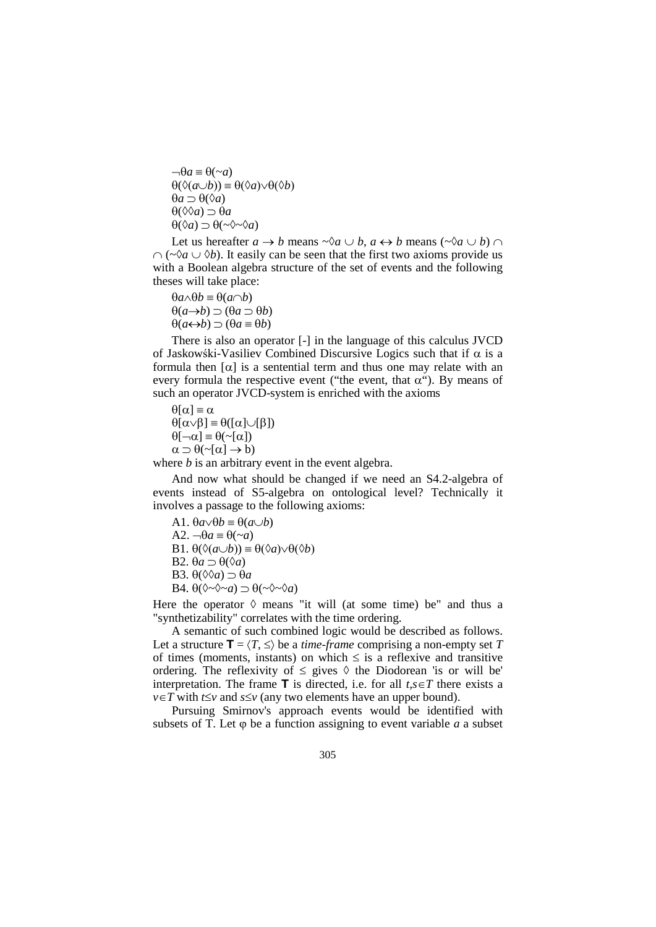$\neg \theta a \equiv \theta(\sim a)$ θ(◊(*a*∪*b*)) ≡ θ(◊*a*)∨θ(◊*b*) θ*a* ⊃ θ(◊*a*) θ(◊◊*a*) ⊃ θ*a* θ(◊*a*) ⊃ θ(~◊~◊*a*)

Let us hereafter  $a \rightarrow b$  means  $\sim \lambda a \cup b$ ,  $a \leftrightarrow b$  means ( $\sim \lambda a \cup b$ )  $\cap$  $\cap$  (~ $\Diamond a \cup \Diamond b$ ). It easily can be seen that the first two axioms provide us with a Boolean algebra structure of the set of events and the following theses will take place:

θ*a*∧θ*b* ≡ θ(*a*∩*b*) θ(*a*→*b*) ⊃ (θ*a* ⊃ θ*b*) θ(*a*↔*b*) ⊃ (θ*a* ≡ θ*b*)

There is also an operator [-] in the language of this calculus JVCD of Jaskowski-Vasiliev Combined Discursive Logics such that if  $\alpha$  is a formula then  $\lceil \alpha \rceil$  is a sentential term and thus one may relate with an every formula the respective event ("the event, that  $\alpha$ "). By means of such an operator JVCD-system is enriched with the axioms

 $\theta[\alpha] \equiv \alpha$ θ[α∨β] ≡ θ([α]∪[β])  $\theta[\neg \alpha] \equiv \theta(\sim[\alpha])$  $\alpha \supset \theta$ (~[ $\alpha$ ]  $\rightarrow$  b)

where *b* is an arbitrary event in the event algebra.

And now what should be changed if we need an S4.2-algebra of events instead of S5-algebra on ontological level? Technically it involves a passage to the following axioms:

A1. θ*a*∨θ*b* ≡ θ(*a*∪*b*) A2. ¬θ*a* ≡ θ(~*a*) B1. θ(◊(*a*∪*b*)) ≡ θ(◊*a*)∨θ(◊*b*) B2. θ*a* ⊃ θ(◊*a*) B3.  $\theta$ ( $\Diamond$  $\Diamond$ *a*)  $\supset$   $\theta$ *a* B4. θ(◊~◊~*a*) ⊃ θ(~◊~◊*a*)

Here the operator  $\Diamond$  means "it will (at some time) be" and thus a "synthetizability" correlates with the time ordering.

A semantic of such combined logic would be described as follows. Let a structure  $\mathbf{T} = \langle T, \leq \rangle$  be a *time-frame* comprising a non-empty set *T* of times (moments, instants) on which  $\leq$  is a reflexive and transitive ordering. The reflexivity of  $\leq$  gives  $\Diamond$  the Diodorean 'is or will be' interpretation. The frame **T** is directed, i.e. for all  $t, s \in T$  there exists a *v*∈*T* with *t*≤*v* and *s*≤*v* (any two elements have an upper bound).

Pursuing Smirnov's approach events would be identified with subsets of  $\overline{T}$ . Let  $\varphi$  be a function assigning to event variable *a* a subset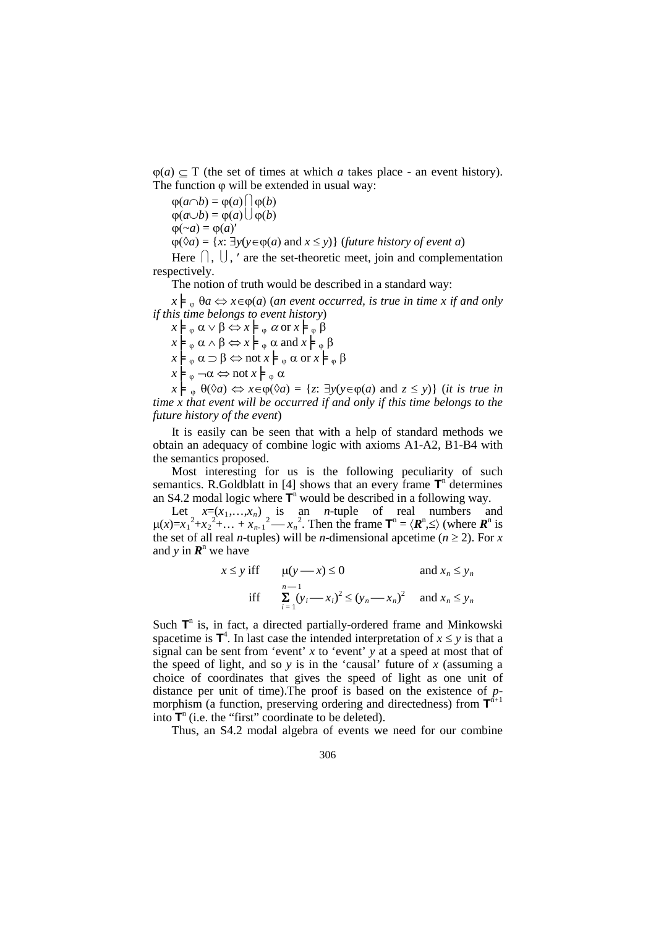$\varphi(a) \subseteq T$  (the set of times at which *a* takes place - an event history). The function  $\varphi$  will be extended in usual way:

$$
\varphi(a \cap b) = \varphi(a) \bigcap \varphi(b)
$$
  
\n
$$
\varphi(a \cup b) = \varphi(a) \bigcup \varphi(b)
$$
  
\n
$$
\varphi(\sim a) = \varphi(a)'
$$
  
\n
$$
\varphi(\lozenge a) = \{x: \exists y(y \in \varphi(a) \text{ and } x \le y)\} \text{ (future history of event a)}
$$
  
\nHere  $\bigcap \bigcup$  ' are the set-theoretic meet join and complement

eet, join and complementation respectively.

The notion of truth would be described in a standard way:

 $x \models_{\varphi} \theta a \Leftrightarrow x \in \varphi(a)$  (*an event occurred, is true in time x if and only if this time belongs to event history*)

 $x \models_{\varphi} \alpha \vee \beta \Leftrightarrow x \models_{\varphi} \alpha$  or  $x \models_{\varphi} \beta$  $x \models_{\varphi} \alpha \wedge \beta \Leftrightarrow x \models_{\varphi} \alpha \text{ and } x \models_{\varphi} \beta$  $x \models_{\varphi} \alpha \supset \beta \Leftrightarrow \text{not } x \models_{\varphi} \alpha \text{ or } x \models_{\varphi} \beta$  $x \models_{\varphi} \neg \alpha \Leftrightarrow \text{not } x \models_{\varphi} \alpha$ 

 $x \models_{\varphi} \theta(\Diamond a) \Leftrightarrow x \in \varphi(\Diamond a) = \{z : \exists y(y \in \varphi(a) \text{ and } z \leq y)\}$  (*it is true in time x that event will be occurred if and only if this time belongs to the future history of the event*)

It is easily can be seen that with a help of standard methods we obtain an adequacy of combine logic with axioms A1-A2, B1-B4 with the semantics proposed.

Most interesting for us is the following peculiarity of such semantics. R.Goldblatt in [4] shows that an every frame  $T<sup>n</sup>$  determines an S4.2 modal logic where  $T<sup>n</sup>$  would be described in a following way.

Let  $x=(x_1,...,x_n)$  is an *n*-tuple of real numbers and  $\mu(x)=x_1^2+x_2^2+...+x_{n-1}^2-x_n^2$ . Then the frame  $\mathbf{T}^n = \langle \mathbf{R}^n, \le \rangle$  (where  $\mathbf{R}^n$  is the set of all real *n*-tuples) will be *n*-dimensional apcetime ( $n \ge 2$ ). For *x* and *y* in  $\mathbf{R}^n$  we have

$$
x \le y \text{ iff } \quad \mu(y - x) \le 0 \quad \text{and } x_n \le y_n
$$
  
iff 
$$
\sum_{i=1}^{n-1} (y_i - x_i)^2 \le (y_n - x_n)^2 \quad \text{and } x_n \le y_n
$$

Such  $T<sup>n</sup>$  is, in fact, a directed partially-ordered frame and Minkowski spacetime is  $T^4$ . In last case the intended interpretation of  $x \le y$  is that a signal can be sent from 'event' *x* to 'event' *y* at a speed at most that of the speed of light, and so  $y$  is in the 'causal' future of  $x$  (assuming a choice of coordinates that gives the speed of light as one unit of distance per unit of time).The proof is based on the existence of *p*morphism (a function, preserving ordering and directedness) from  $T^{\hat{n}+1}$ into  $\mathbf{T}^n$  (i.e. the "first" coordinate to be deleted).

Thus, an S4.2 modal algebra of events we need for our combine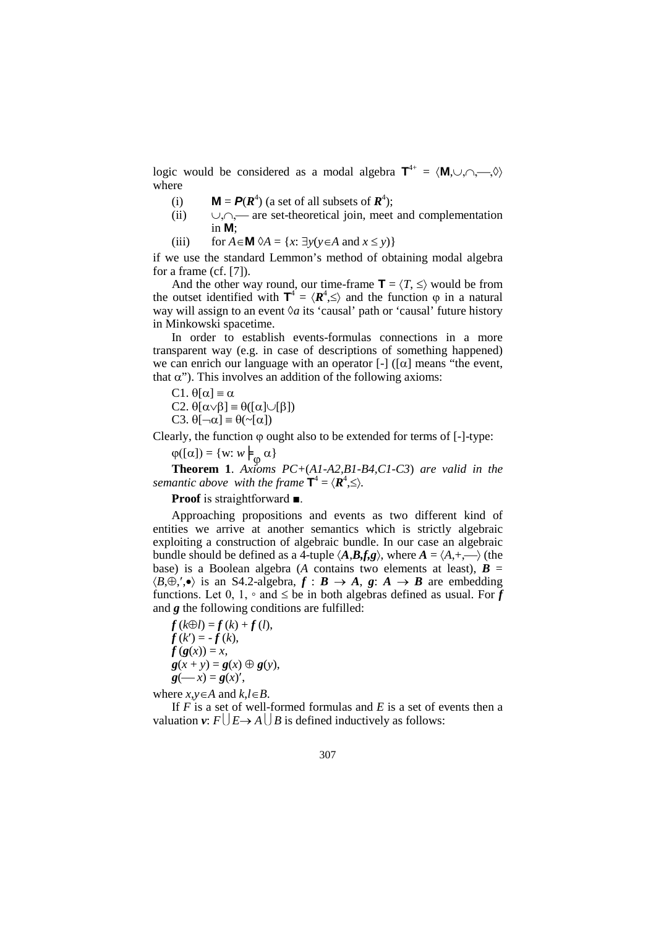logic would be considered as a modal algebra  $T^{4+} = \langle M, \cup, \cap, \longrightarrow, \diamond \rangle$ where

- (i) **M** =  $P(R^4)$  (a set of all subsets of  $R^4$ );
- (ii) ∪,∩, are set-theoretical join, meet and complementation in **M**;

(iii) for  $A \in \mathbf{M}$   $\Diamond A = \{x : \exists y (y \in A \text{ and } x \leq y)\}\$ 

if we use the standard Lemmon's method of obtaining modal algebra for a frame (cf. [7]).

And the other way round, our time-frame  $\mathbf{T} = \langle T, \leq \rangle$  would be from the outset identified with  $T^4 = \langle R^4, \leq \rangle$  and the function  $\varphi$  in a natural way will assign to an event  $\Diamond a$  its 'causal' path or 'causal' future history in Minkowski spacetime.

In order to establish events-formulas connections in a more transparent way (e.g. in case of descriptions of something happened) we can enrich our language with an operator  $\lceil - \rceil$  ( $\lceil \alpha \rceil$ ) means "the event, that  $\alpha$ "). This involves an addition of the following axioms:

C1.  $θ[α] \equiv α$ 

C2.  $\theta[\alpha \vee \beta] \equiv \theta([\alpha] \cup [\beta])$ 

$$
C3. \; \theta[\neg \alpha] \equiv \theta(\sim[\alpha])
$$

Clearly, the function  $\varphi$  ought also to be extended for terms of [-]-type:

 $\varphi([\alpha]) = \{w : w \models_{\varphi} \alpha\}$ 

**Theorem 1**. *Axioms PC+*(*A1-A2,B1-B4,C1-C3*) *are valid in the semantic above with the frame*  $\mathbf{T}^4 = \langle \mathbf{R}^4, \leq \rangle$ *.* 

**Proof** is straightforward ■.

Approaching propositions and events as two different kind of entities we arrive at another semantics which is strictly algebraic exploiting a construction of algebraic bundle. In our case an algebraic bundle should be defined as a 4-tuple  $\langle A, B, f, g \rangle$ , where  $A = \langle A, +, \longrightarrow \rangle$  (the base) is a Boolean algebra (*A* contains two elements at least),  $\mathbf{B} =$  $\langle B, \oplus, ', \bullet \rangle$  is an S4.2-algebra,  $f : B \to A$ ,  $g : A \to B$  are embedding functions. Let 0, 1,  $\circ$  and  $\leq$  be in both algebras defined as usual. For *f* and *g* the following conditions are fulfilled:

 $f(k\oplus l) = f(k) + f(l),$  $f(k') = -f(k),$  $f(g(x)) = x$ ,  $g(x + y) = g(x) \oplus g(y),$  $g(-x) = g(x)$ ,

where  $x, y \in A$  and  $k, l \in B$ .

If *F* is a set of well-formed formulas and *E* is a set of events then a valuation  $v: F\left( \left| E \rightarrow A \right| \right) B$  is defined inductively as follows: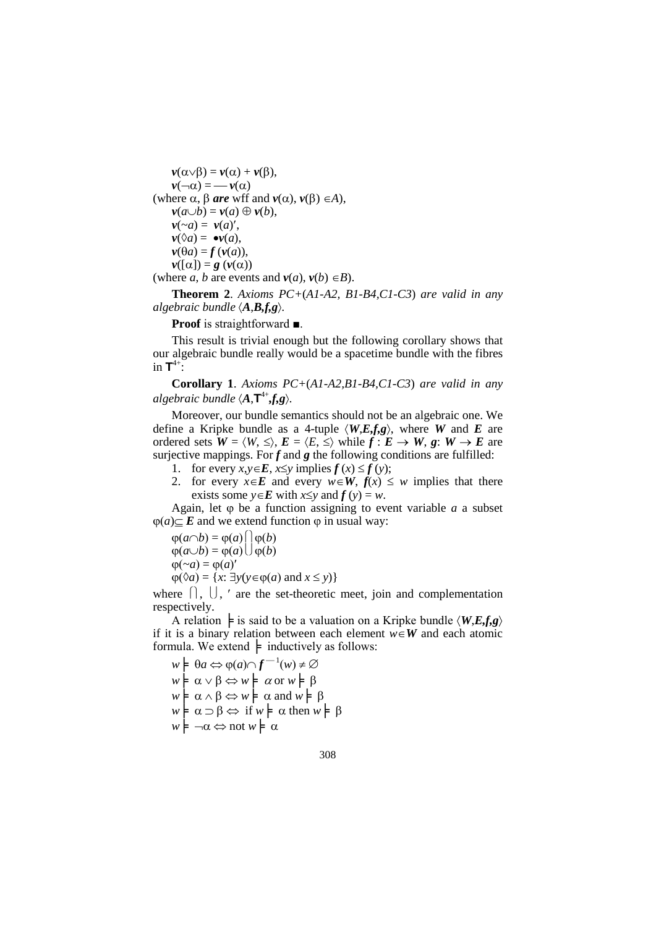$\nu(\alpha \vee \beta) = \nu(\alpha) + \nu(\beta),$  $v(\neg \alpha) = -v(\alpha)$ (where  $\alpha$ ,  $\beta$  *are* wff and  $v(\alpha)$ ,  $v(\beta) \in A$ ),  $\nu(a \cup b) = \nu(a) \oplus \nu(b),$  $\nu(\sim a) = \nu(a)$ ',  $v(\Diamond a) = \bullet v(a),$  $v(\theta a) = f(v(a)),$  $v([\alpha]) = g(v(\alpha))$ (where *a*, *b* are events and  $v(a)$ ,  $v(b) \in B$ ).

**Theorem 2**. *Axioms PC+*(*A1-A2, B1-B4,C1-C3*) *are valid in any algebraic bundle*  $\langle A, B, f, g \rangle$ *.* 

**Proof** is straightforward ■.

This result is trivial enough but the following corollary shows that our algebraic bundle really would be a spacetime bundle with the fibres in  $\mathbf{T}^{4+}$ :

**Corollary 1**. *Axioms PC+*(*A1-A2,B1-B4,C1-C3*) *are valid in any algebraic bundle*  $\langle A, \mathbf{T}^{4+}, f, g \rangle$ *.* 

Moreover, our bundle semantics should not be an algebraic one. We define a Kripke bundle as a 4-tuple  $\langle W, E, f, g \rangle$ , where *W* and *E* are ordered sets  $W = \langle W, \leq \rangle$ ,  $E = \langle E, \leq \rangle$  while  $f : E \to W$ ,  $g : W \to E$  are surjective mappings. For  $f$  and  $g$  the following conditions are fulfilled:

- 1. for every  $x, y \in E$ ,  $x \leq y$  implies  $f(x) \leq f(y)$ ;
- 2. for every  $x \in E$  and every  $w \in W$ ,  $f(x) \leq w$  implies that there exists some *y*∈*E* with *x*≤*y* and  $f (y) = w$ .

Again, let  $\varphi$  be a function assigning to event variable  $a$  a subset  $φ(a) ⊂ E$  and we extend function  $φ$  in usual way:

 $\varphi(a \cap b) = \varphi(a) \cap \varphi(b)$  $\varphi(a \cup b) = \varphi(a) \cup \varphi(b)$  $\phi(\sim a) = \phi(a)'$  $\varphi(\Diamond a) = \{x: \exists y(y \in \varphi(a) \text{ and } x \leq y)\}\$ 

where  $\lceil \cdot, \cdot \rceil \rceil$ ,  $\lceil \cdot \rceil$  are the set-theoretic meet, join and complementation respectively.

A relation  $\models$  is said to be a valuation on a Kripke bundle  $\langle W, E, f, g \rangle$ if it is a binary relation between each element  $w \in W$  and each atomic formula. We extend  $\models$  inductively as follows:

 $w \models \theta a \Leftrightarrow \varphi(a) \cap f^{-1}(w) \neq \varnothing$  $w$ **⊨**  $\alpha$  ∨ β ⇔ *w* **⊨**  $\alpha$  or *w* **⊨** β  $w \models \alpha \land \beta \Leftrightarrow w \models \alpha \text{ and } w \models \beta$  $w$  $\models$  α ⊃ β ⇔ if  $w$  $\models$  α then  $w$  $\models$  β  $w \models \neg \alpha \Leftrightarrow \text{not } w \models \alpha$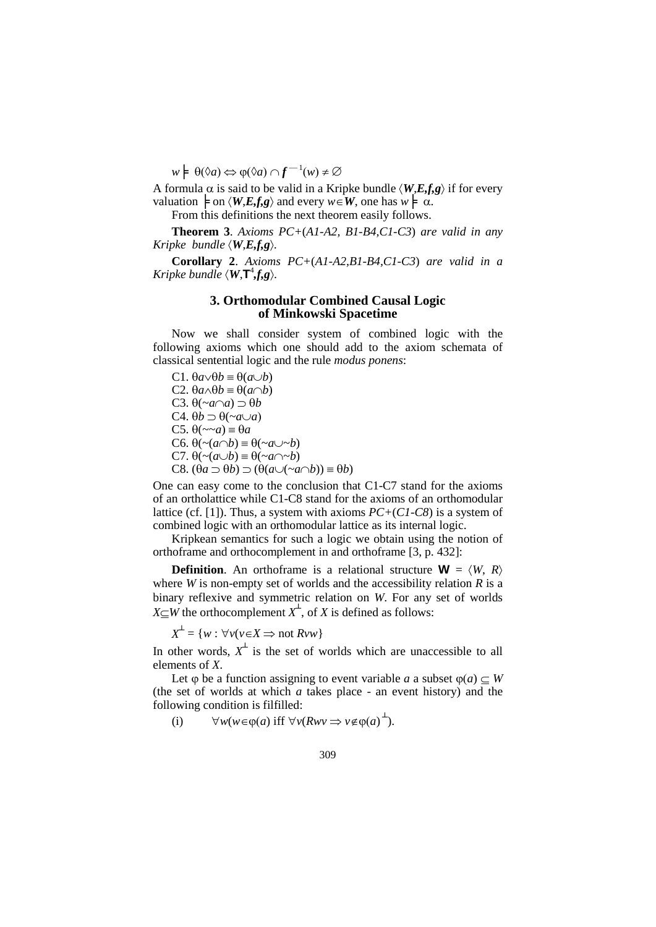$w \models \theta(\Diamond a) \Leftrightarrow \phi(\Diamond a) \cap f^{-1}(w) \neq \emptyset$ 

A formula  $\alpha$  is said to be valid in a Kripke bundle  $\langle W, E, f, g \rangle$  if for every valuation  $\models$  on  $\langle W, E_x f, g \rangle$  and every  $w \in W$ , one has  $w \models \alpha$ .

From this definitions the next theorem easily follows.

**Theorem 3**. *Axioms PC+*(*A1-A2, B1-B4,C1-C3*) *are valid in any Kripke bundle*  $\langle W, E, f, g \rangle$ *.* 

**Corollary 2**. *Axioms PC+*(*A1-A2,B1-B4,C1-C3*) *are valid in a Kripke bundle*  $\langle W, \mathsf{T}^4 f, g \rangle$ *.* 

## **3. Orthomodular Combined Causal Logic of Minkowski Spacetime**

Now we shall consider system of combined logic with the following axioms which one should add to the axiom schemata of classical sentential logic and the rule *modus ponens*:

C1. θ*a*∨θ*b* ≡ θ(*a*∪*b*) C2. θ*a*∧θ*b* ≡ θ(*a*∩*b*) C3. θ(~*a*∩*a*) ⊃ θ*b* C4. θ*b* ⊃ θ(~*a*∪*a*) C5.  $\theta$ ( $\sim a$ )  $\equiv \theta a$ C6.  $\theta(\sim(a \cap b) \equiv \theta(\sim a \cup \sim b)$ C7. θ(~(*a*∪*b*) ≡ θ(~*a*∩~*b*) C8.  $(\theta a \supset \theta b) \supset (\theta(a \cup (\sim a \cap b)) \equiv \theta b)$ 

One can easy come to the conclusion that C1-C7 stand for the axioms of an ortholattice while C1-C8 stand for the axioms of an orthomodular lattice (cf. [1]). Thus, a system with axioms *PC+*(*C1-C8*) is a system of combined logic with an orthomodular lattice as its internal logic.

Kripkean semantics for such a logic we obtain using the notion of orthoframe and orthocomplement in and orthoframe [3, p. 432]:

**Definition**. An orthoframe is a relational structure  $W = \langle W, R \rangle$ where *W* is non-empty set of worlds and the accessibility relation  $R$  is a binary reflexive and symmetric relation on *W*. For any set of worlds *X* $\subseteq$ *W* the orthocomplement *X*<sup> $\perp$ </sup>, of *X* is defined as follows:

 $X^{\perp} = \{w : \forall v (v \in X \implies \text{not } Rvw\}$ 

In other words,  $X^{\perp}$  is the set of worlds which are unaccessible to all elements of *X*.

Let  $\varphi$  be a function assigning to event variable *a* a subset  $\varphi$ (*a*)  $\subseteq$  *W* (the set of worlds at which *a* takes place - an event history) and the following condition is filfilled:

(i) 
$$
\forall w (w \in \varphi(a) \text{ iff } \forall v (Rwv \Rightarrow v \notin \varphi(a)^{\perp}).
$$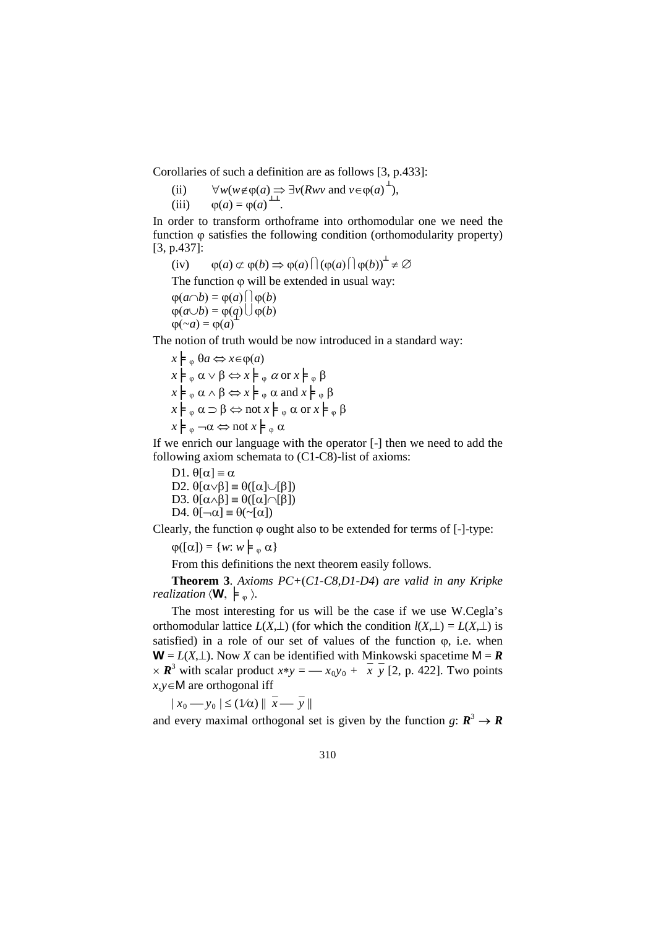Corollaries of such a definition are as follows [3, p.433]:

(ii)  $\forall w(w \notin \varphi(a) \implies \exists v(Rwv \text{ and } v \in \varphi(a) \overset{\perp}{\rightarrow}),$ 

(iii)  $\varphi(a) = \varphi(a) \perp^{\perp}$ .

In order to transform orthoframe into orthomodular one we need the function  $\varphi$  satisfies the following condition (orthomodularity property) [3, p.437]:

 $(iv)$   $\varphi(a) \not\subset \varphi(b) \implies \varphi(a) \bigcap (\varphi(a) \bigcap \varphi(b))^{\perp} \neq \varnothing$ 

The function  $\varphi$  will be extended in usual way:

$$
\varphi(a \cap b) = \varphi(a) \cap \varphi(b)
$$
  
 
$$
\varphi(a \cup b) = \varphi(a) \cap \varphi(b)
$$
  
 
$$
\varphi(\neg a) = \varphi(a)
$$

The notion of truth would be now introduced in a standard way:

$$
x \models_{\varphi} \theta a \Leftrightarrow x \in \varphi(a)
$$
  
\n
$$
x \models_{\varphi} \alpha \lor \beta \Leftrightarrow x \models_{\varphi} \alpha \text{ or } x \models_{\varphi} \beta
$$
  
\n
$$
x \models_{\varphi} \alpha \land \beta \Leftrightarrow x \models_{\varphi} \alpha \text{ and } x \models_{\varphi} \beta
$$
  
\n
$$
x \models_{\varphi} \alpha \supset \beta \Leftrightarrow \text{not } x \models_{\varphi} \alpha \text{ or } x \models_{\varphi} \beta
$$
  
\n
$$
x \models_{\varphi} \neg \alpha \Leftrightarrow \text{not } x \models_{\varphi} \alpha
$$

If we enrich our language with the operator [-] then we need to add the following axiom schemata to (C1-C8)-list of axioms:

D1.  $θ[α] \equiv α$ D2.  $\theta[\alpha \lor \beta] \equiv \theta([\alpha] \cup [\beta])$ D3.  $\theta[\alpha \wedge \beta]$  =  $\theta([\alpha] \cap [\beta])$ D4.  $\theta[\neg \alpha] \equiv \theta(\sim[\alpha])$ 

Clearly, the function  $\varphi$  ought also to be extended for terms of [-]-type:

 $\varphi([\alpha]) = \{w: w \models_{\varphi} \alpha\}$ 

From this definitions the next theorem easily follows.

**Theorem 3**. *Axioms PC+*(*C1-C8,D1-D4*) *are valid in any Kripke realization*  $\langle \mathbf{W}, \ \models_{\varphi} \rangle$ .

The most interesting for us will be the case if we use W.Cegla's orthomodular lattice  $L(X, \perp)$  (for which the condition  $l(X, \perp) = L(X, \perp)$  is satisfied) in a role of our set of values of the function  $\varphi$ , i.e. when **W** =  $L(X, \perp)$ . Now *X* can be identified with Minkowski spacetime M = **R**  $\times \mathbb{R}^3$  with scalar product  $x*y = -x_0y_0 + \overline{x} \overline{y}$  [2, p. 422]. Two points *x*,*y*∈M are orthogonal iff

 $|x_0 - y_0| \leq (1/\alpha) || \overline{x} - \overline{y} ||$ 

and every maximal orthogonal set is given by the function *g*:  $\mathbf{R}^3 \to \mathbf{R}$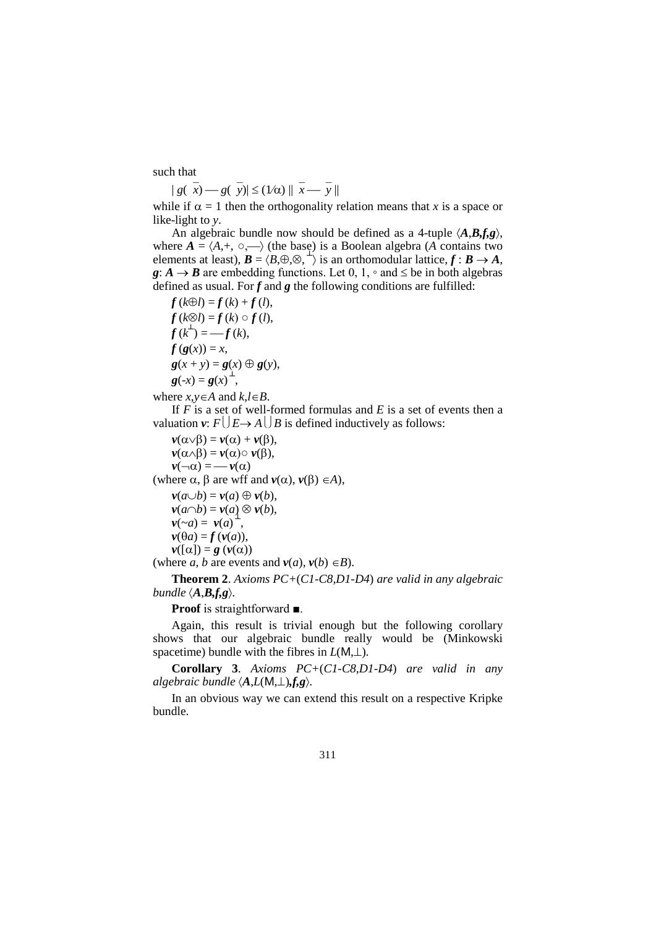such that

 $| g(\overline{x}) - g(\overline{y}) | \leq (1/\alpha) || \overline{x} - \overline{y} ||$ 

while if  $\alpha = 1$  then the orthogonality relation means that *x* is a space or like-light to *y*.

An algebraic bundle now should be defined as a 4-tuple 〈*A*,*B,f,g*〉, where  $A = \langle A, +, \circ, \longrightarrow \rangle$  (the base) is a Boolean algebra (*A* contains two elements at least),  $\mathbf{B} = \langle \mathbf{B}, \oplus, \otimes, \perp \rangle$  is an orthomodular lattice,  $\mathbf{f} : \mathbf{B} \to \mathbf{A}$ ,  $g: A \rightarrow B$  are embedding functions. Let 0, 1,  $\circ$  and  $\leq$  be in both algebras defined as usual. For  $f$  and  $g$  the following conditions are fulfilled:

 $f(k\oplus l) = f(k) + f(l),$  $f(k\otimes l) = f(k) \circ f(l),$  $f(k^{2}) = -f(k),$  $f(g(x)) = x$ ,  $g(x + y) = g(x) \oplus g(y),$  $g(-x) = g(x)^{\perp}$ 

where  $x, y \in A$  and  $k, l \in B$ .

If *F* is a set of well-formed formulas and *E* is a set of events then a valuation  $v: F \cup E \rightarrow A \cup B$  is defined inductively as follows:

 $\nu(\alpha \vee \beta) = \nu(\alpha) + \nu(\beta),$  $v(\alpha \wedge \beta) = v(\alpha) \circ v(\beta),$  $v(\neg \alpha) = -v(\alpha)$ (where  $\alpha$ ,  $\beta$  are wff and  $v(\alpha)$ ,  $v(\beta) \in A$ ),  $\nu(a \cup b) = \nu(a) \oplus \nu(b),$ *v*(*a*∩*b*) = *v*(*a*) ⊗ *v*(*b*),

$$
\nu(\sim a) = \nu(a)^{\perp},
$$
  
 
$$
\nu(\theta a) = f(\nu(a)),
$$

$$
\mathbf{v}([\alpha]) = \mathbf{g}(\mathbf{v}(\alpha))
$$

(where *a*, *b* are events and  $v(a)$ ,  $v(b) \in B$ ).

**Theorem 2**. *Axioms PC+*(*C1-C8,D1-D4*) *are valid in any algebraic bundle*  $\langle A, B, f, g \rangle$ *.* 

**Proof** is straightforward ■.

Again, this result is trivial enough but the following corollary shows that our algebraic bundle really would be (Minkowski spacetime) bundle with the fibres in *L*(M,⊥).

**Corollary 3**. *Axioms PC+*(*C1-C8,D1-D4*) *are valid in any algebraic bundle*  $\langle A, L(M, \perp), f, g \rangle$ .

In an obvious way we can extend this result on a respective Kripke bundle.